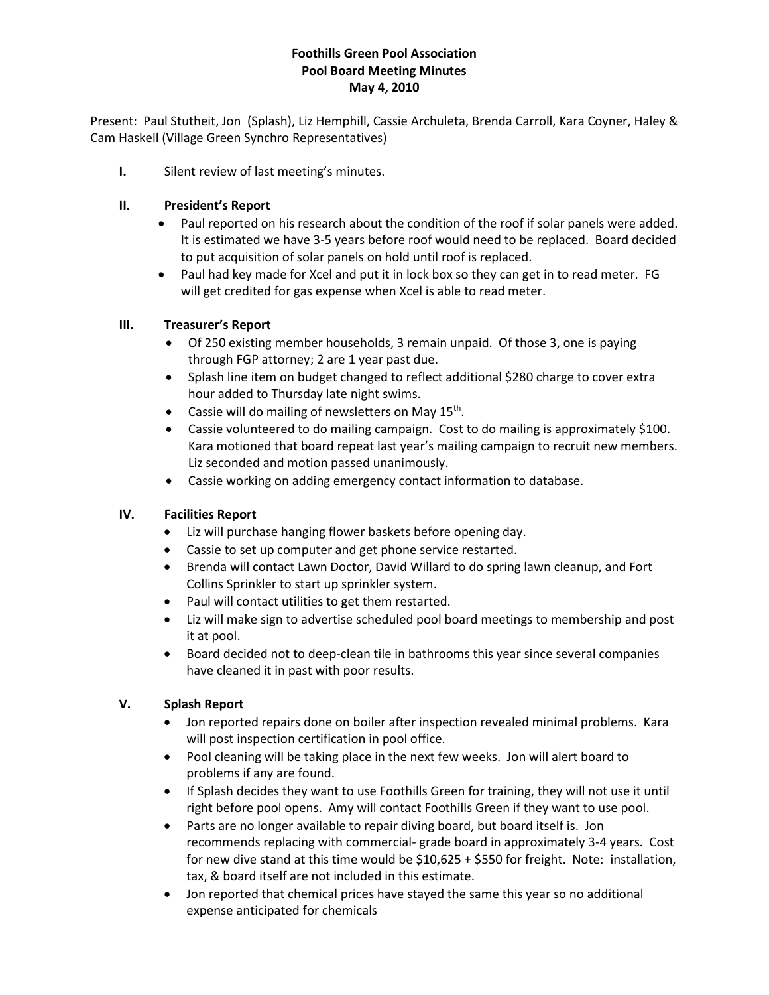# **Foothills Green Pool Association Pool Board Meeting Minutes May 4, 2010**

Present: Paul Stutheit, Jon (Splash), Liz Hemphill, Cassie Archuleta, Brenda Carroll, Kara Coyner, Haley & Cam Haskell (Village Green Synchro Representatives)

**I.** Silent review of last meeting's minutes.

# **II. President's Report**

- Paul reported on his research about the condition of the roof if solar panels were added. It is estimated we have 3-5 years before roof would need to be replaced. Board decided to put acquisition of solar panels on hold until roof is replaced.
- Paul had key made for Xcel and put it in lock box so they can get in to read meter. FG will get credited for gas expense when Xcel is able to read meter.

#### **III. Treasurer's Report**

- Of 250 existing member households, 3 remain unpaid. Of those 3, one is paying through FGP attorney; 2 are 1 year past due.
- Splash line item on budget changed to reflect additional \$280 charge to cover extra hour added to Thursday late night swims.
- Cassie will do mailing of newsletters on May 15<sup>th</sup>.
- Cassie volunteered to do mailing campaign. Cost to do mailing is approximately \$100. Kara motioned that board repeat last year's mailing campaign to recruit new members. Liz seconded and motion passed unanimously.
- Cassie working on adding emergency contact information to database.

# **IV. Facilities Report**

- Liz will purchase hanging flower baskets before opening day.
- Cassie to set up computer and get phone service restarted.
- Brenda will contact Lawn Doctor, David Willard to do spring lawn cleanup, and Fort Collins Sprinkler to start up sprinkler system.
- Paul will contact utilities to get them restarted.
- Liz will make sign to advertise scheduled pool board meetings to membership and post it at pool.
- Board decided not to deep-clean tile in bathrooms this year since several companies have cleaned it in past with poor results.

# **V. Splash Report**

- Jon reported repairs done on boiler after inspection revealed minimal problems. Kara will post inspection certification in pool office.
- Pool cleaning will be taking place in the next few weeks. Jon will alert board to problems if any are found.
- If Splash decides they want to use Foothills Green for training, they will not use it until right before pool opens. Amy will contact Foothills Green if they want to use pool.
- Parts are no longer available to repair diving board, but board itself is. Jon recommends replacing with commercial- grade board in approximately 3-4 years. Cost for new dive stand at this time would be \$10,625 + \$550 for freight. Note: installation, tax, & board itself are not included in this estimate.
- Jon reported that chemical prices have stayed the same this year so no additional expense anticipated for chemicals